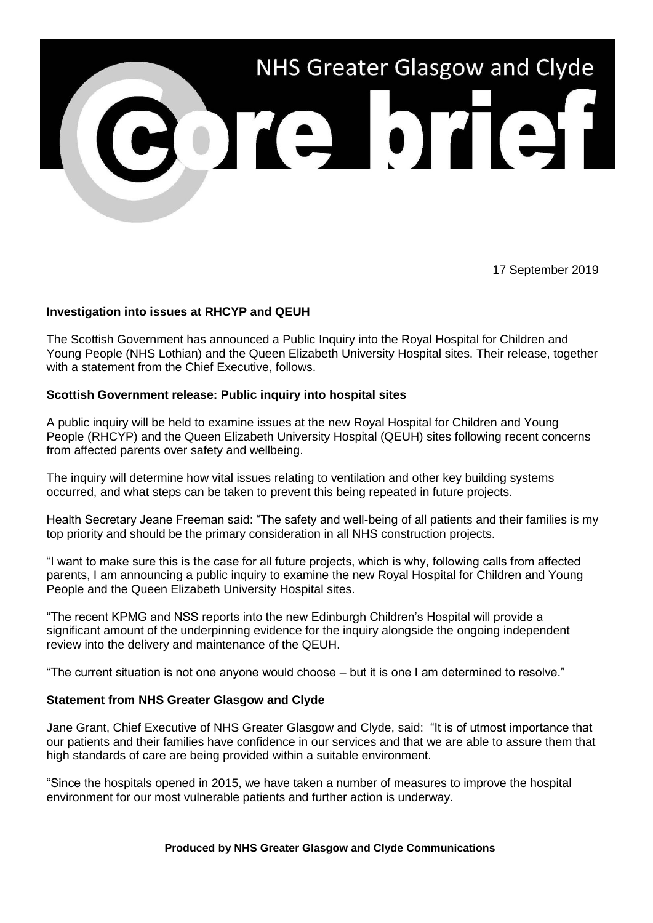

17 September 2019

## **Investigation into issues at RHCYP and QEUH**

The Scottish Government has announced a Public Inquiry into the Royal Hospital for Children and Young People (NHS Lothian) and the Queen Elizabeth University Hospital sites. Their release, together with a statement from the Chief Executive, follows.

## **Scottish Government release: Public inquiry into hospital sites**

A public inquiry will be held to examine issues at the new Royal Hospital for Children and Young People (RHCYP) and the Queen Elizabeth University Hospital (QEUH) sites following recent concerns from affected parents over safety and wellbeing.

The inquiry will determine how vital issues relating to ventilation and other key building systems occurred, and what steps can be taken to prevent this being repeated in future projects.

Health Secretary Jeane Freeman said: "The safety and well-being of all patients and their families is my top priority and should be the primary consideration in all NHS construction projects.

"I want to make sure this is the case for all future projects, which is why, following calls from affected parents, I am announcing a public inquiry to examine the new Royal Hospital for Children and Young People and the Queen Elizabeth University Hospital sites.

"The recent KPMG and NSS reports into the new Edinburgh Children's Hospital will provide a significant amount of the underpinning evidence for the inquiry alongside the ongoing independent review into the delivery and maintenance of the QEUH.

"The current situation is not one anyone would choose – but it is one I am determined to resolve."

## **Statement from NHS Greater Glasgow and Clyde**

Jane Grant, Chief Executive of NHS Greater Glasgow and Clyde, said: "It is of utmost importance that our patients and their families have confidence in our services and that we are able to assure them that high standards of care are being provided within a suitable environment.

"Since the hospitals opened in 2015, we have taken a number of measures to improve the hospital environment for our most vulnerable patients and further action is underway.